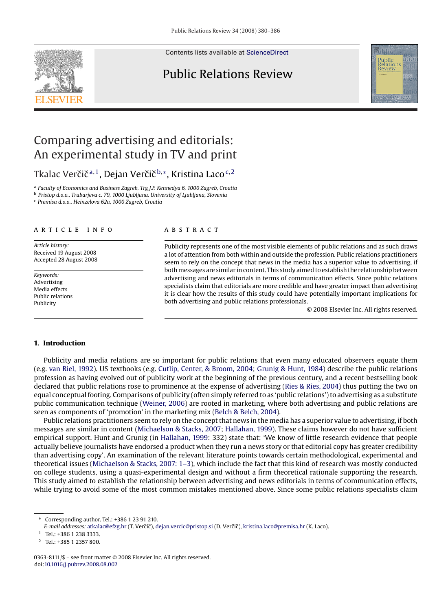Contents lists available at [ScienceDirect](http://www.sciencedirect.com/science/journal/03638111)

### Public Relations Review



## Comparing advertising and editorials: An experimental study in TV and print

Tkalac Verčič<sup>a,1</sup>, Dejan Verčič<sup>b,∗</sup>, Kristina Laco<sup>c,2</sup>

<sup>a</sup> *Faculty of Economics and Business Zagreb, Trg J.F. Kennedya 6, 1000 Zagreb, Croatia*

<sup>b</sup> *Pristop d.o.o., Trubarjeva c. 79, 1000 Ljubljana, University of Ljubljana, Slovenia*

<sup>c</sup> *Premisa d.o.o., Heinzelova 62a, 1000 Zagreb, Croatia*

#### article info

*Article history:* Received 19 August 2008 Accepted 28 August 2008

*Keywords:* Advertising Media effects Public relations Publicity

#### **ABSTRACT**

Publicity represents one of the most visible elements of public relations and as such draws a lot of attention from both within and outside the profession. Public relations practitioners seem to rely on the concept that news in the media has a superior value to advertising, if both messages are similar in content. This study aimed to establish the relationship between advertising and news editorials in terms of communication effects. Since public relations specialists claim that editorials are more credible and have greater impact than advertising it is clear how the results of this study could have potentially important implications for both advertising and public relations professionals.

© 2008 Elsevier Inc. All rights reserved.

#### **1. Introduction**

Publicity and media relations are so important for public relations that even many educated observers equate them (e.g. [van Riel, 1992\).](#page--1-0) US textbooks (e.g. [Cutlip, Center, & Broom, 2004;](#page--1-0) [Grunig & Hunt, 1984\)](#page--1-0) describe the public relations profession as having evolved out of publicity work at the beginning of the previous century, and a recent bestselling book declared that public relations rose to prominence at the expense of advertising ([Ries & Ries, 2004\) t](#page--1-0)hus putting the two on equal conceptual footing. Comparisons of publicity (often simply referred to as 'public relations') to advertising as a substitute public communication technique [\(Weiner, 2006\)](#page--1-0) are rooted in marketing, where both advertising and public relations are seen as components of 'promotion' in the marketing mix [\(Belch & Belch, 2004\).](#page--1-0)

Public relations practitioners seem to rely on the concept that news in the media has a superior value to advertising, if both messages are similar in content [\(Michaelson & Stacks, 2007;](#page--1-0) [Hallahan, 1999\).](#page--1-0) These claims however do not have sufficient empirical support. Hunt and Grunig (in [Hallahan, 1999:](#page--1-0) 332) state that: 'We know of little research evidence that people actually believe journalists have endorsed a product when they run a news story or that editorial copy has greater credibility than advertising copy'. An examination of the relevant literature points towards certain methodological, experimental and theoretical issues [\(Michaelson & Stacks, 2007: 1–3\),](#page--1-0) which include the fact that this kind of research was mostly conducted on college students, using a quasi-experimental design and without a firm theoretical rationale supporting the research. This study aimed to establish the relationship between advertising and news editorials in terms of communication effects, while trying to avoid some of the most common mistakes mentioned above. Since some public relations specialists claim

<sup>∗</sup> Corresponding author. Tel.: +386 1 23 91 210.

E-mail addresses: [atkalac@efzg.hr](mailto:atkalac@efzg.hr) (T. Verčič), [dejan.vercic@pristop.si](mailto:dejan.vercic@pristop.si) (D. Verčič), [kristina.laco@premisa.hr](mailto:kristina.laco@premisa.hr) (K. Laco).

 $1$  Tel: +386 1 238 3333.

<sup>2</sup> Tel.: +385 1 2357 800.

<sup>0363-8111/\$ –</sup> see front matter © 2008 Elsevier Inc. All rights reserved. doi:[10.1016/j.pubrev.2008.08.002](dx.doi.org/10.1016/j.pubrev.2008.08.002)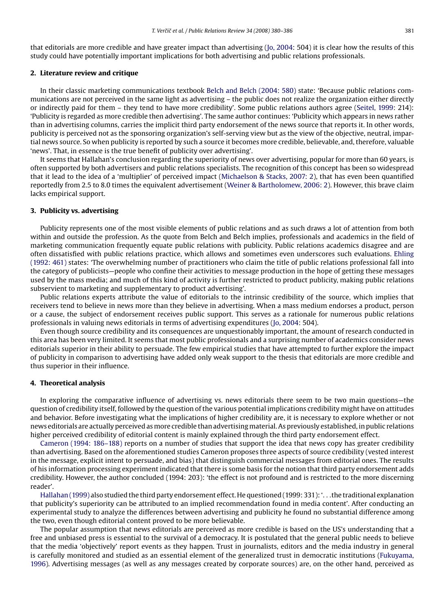that editorials are more credible and have greater impact than advertising ([Jo, 2004: 5](#page--1-0)04) it is clear how the results of this study could have potentially important implications for both advertising and public relations professionals.

#### **2. Literature review and critique**

In their classic marketing communications textbook [Belch and Belch \(2004: 580\)](#page--1-0) state: 'Because public relations communications are not perceived in the same light as advertising – the public does not realize the organization either directly or indirectly paid for them – they tend to have more credibility'. Some public relations authors agree ([Seitel, 1999:](#page--1-0) 214): 'Publicity is regarded as more credible then advertising'. The same author continues: 'Publicity which appears in news rather than in advertising columns, carries the implicit third party endorsement of the news source that reports it. In other words, publicity is perceived not as the sponsoring organization's self-serving view but as the view of the objective, neutral, impartial news source. So when publicity is reported by such a source it becomes more credible, believable, and, therefore, valuable 'news'. That, in essence is the true benefit of publicity over advertising'.

It seems that Hallahan's conclusion regarding the superiority of news over advertising, popular for more than 60 years, is often supported by both advertisers and public relations specialists. The recognition of this concept has been so widespread that it lead to the idea of a 'multiplier' of perceived impact [\(Michaelson & Stacks, 2007: 2\),](#page--1-0) that has even been quantified reportedly from 2.5 to 8.0 times the equivalent advertisement [\(Weiner & Bartholomew, 2006: 2\).](#page--1-0) However, this brave claim lacks empirical support.

#### **3. Publicity vs. advertising**

Publicity represents one of the most visible elements of public relations and as such draws a lot of attention from both within and outside the profession. As the quote from Belch and Belch implies, professionals and academics in the field of marketing communication frequently equate public relations with publicity. Public relations academics disagree and are often dissatisfied with public relations practice, which allows and sometimes even underscores such evaluations. [Ehling](#page--1-0) [\(1992: 461\)](#page--1-0) states: 'The overwhelming number of practitioners who claim the title of public relations professional fall into the category of publicists—people who confine their activities to message production in the hope of getting these messages used by the mass media; and much of this kind of activity is further restricted to product publicity, making public relations subservient to marketing and supplementary to product advertising'.

Public relations experts attribute the value of editorials to the intrinsic credibility of the source, which implies that receivers tend to believe in news more than they believe in advertising. When a mass medium endorses a product, person or a cause, the subject of endorsement receives public support. This serves as a rationale for numerous public relations professionals in valuing news editorials in terms of advertising expenditures ([Jo, 2004: 5](#page--1-0)04).

Even though source credibility and its consequences are unquestionably important, the amount of research conducted in this area has been very limited. It seems that most public professionals and a surprising number of academics consider news editorials superior in their ability to persuade. The few empirical studies that have attempted to further explore the impact of publicity in comparison to advertising have added only weak support to the thesis that editorials are more credible and thus superior in their influence.

#### **4. Theoretical analysis**

In exploring the comparative influence of advertising vs. news editorials there seem to be two main questions—the question of credibility itself, followed by the question of the various potential implications credibility might have on attitudes and behavior. Before investigating what the implications of higher credibility are, it is necessary to explore whether or not news editorials are actually perceived asmore credible than advertisingmaterial. As previously established, in public relations higher perceived credibility of editorial content is mainly explained through the third party endorsement effect.

[Cameron \(1994: 186–188\)](#page--1-0) reports on a number of studies that support the idea that news copy has greater credibility than advertising. Based on the aforementioned studies Cameron proposes three aspects of source credibility (vested interest in the message, explicit intent to persuade, and bias) that distinguish commercial messages from editorial ones. The results of his information processing experiment indicated that there is some basis for the notion that third party endorsement adds credibility. However, the author concluded (1994: 203): 'the effect is not profound and is restricted to the more discerning reader'.

[Hallahan \(1999\)](#page--1-0) also studied the third party endorsement effect. He questioned (1999: 331): '...the traditional explanation that publicity's superiority can be attributed to an implied recommendation found in media content'. After conducting an experimental study to analyze the differences between advertising and publicity he found no substantial difference among the two, even though editorial content proved to be more believable.

The popular assumption that news editorials are perceived as more credible is based on the US's understanding that a free and unbiased press is essential to the survival of a democracy. It is postulated that the general public needs to believe that the media 'objectively' report events as they happen. Trust in journalists, editors and the media industry in general is carefully monitored and studied as an essential element of the generalized trust in democratic institutions ([Fukuyama,](#page--1-0) [1996\).](#page--1-0) Advertising messages (as well as any messages created by corporate sources) are, on the other hand, perceived as